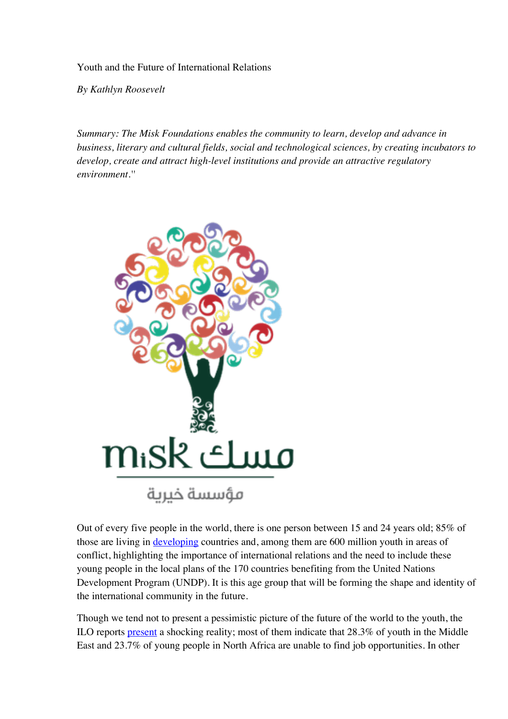Youth and the Future of International Relations

*By Kathlyn Roosevelt*

*Summary: The Misk Foundations enables the community to learn, develop and advance in business, literary and cultural fields, social and technological sciences, by creating incubators to develop, create and attract high-level institutions and provide an attractive regulatory environment.''*



Out of every five people in the world, there is one person between 15 and 24 years old; 85% of those are living in developing countries and, among them are 600 million youth in areas of conflict, highlighting the importance of international relations and the need to include these young people in the local plans of the 170 countries benefiting from the United Nations Development Program (UNDP). It is this age group that will be forming the shape and identity of the international community in the future.

Though we tend not to present a pessimistic picture of the future of the world to the youth, the ILO reports present a shocking reality; most of them indicate that 28.3% of youth in the Middle East and 23.7% of young people in North Africa are unable to find job opportunities. In other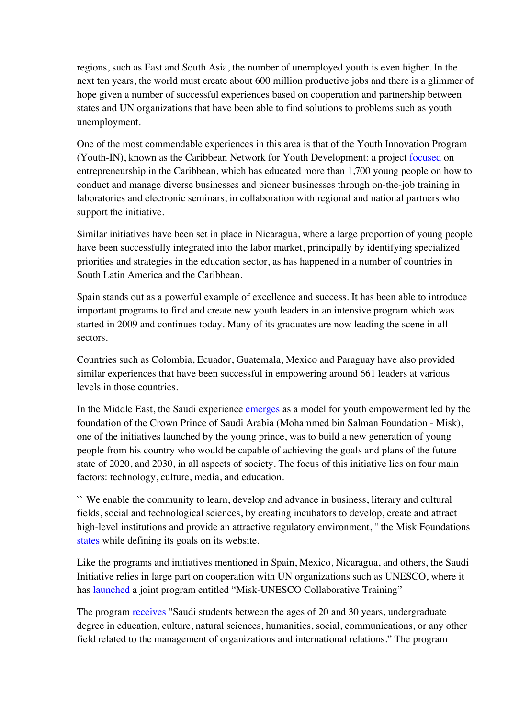regions, such as East and South Asia, the number of unemployed youth is even higher. In the next ten years, the world must create about 600 million productive jobs and there is a glimmer of hope given a number of successful experiences based on cooperation and partnership between states and UN organizations that have been able to find solutions to problems such as youth unemployment.

One of the most commendable experiences in this area is that of the Youth Innovation Program (Youth-IN), known as the Caribbean Network for Youth Development: a project focused on entrepreneurship in the Caribbean, which has educated more than 1,700 young people on how to conduct and manage diverse businesses and pioneer businesses through on-the-job training in laboratories and electronic seminars, in collaboration with regional and national partners who support the initiative.

Similar initiatives have been set in place in Nicaragua, where a large proportion of young people have been successfully integrated into the labor market, principally by identifying specialized priorities and strategies in the education sector, as has happened in a number of countries in South Latin America and the Caribbean.

Spain stands out as a powerful example of excellence and success. It has been able to introduce important programs to find and create new youth leaders in an intensive program which was started in 2009 and continues today. Many of its graduates are now leading the scene in all sectors.

Countries such as Colombia, Ecuador, Guatemala, Mexico and Paraguay have also provided similar experiences that have been successful in empowering around 661 leaders at various levels in those countries.

In the Middle East, the Saudi experience emerges as a model for youth empowerment led by the foundation of the Crown Prince of Saudi Arabia (Mohammed bin Salman Foundation - Misk), one of the initiatives launched by the young prince, was to build a new generation of young people from his country who would be capable of achieving the goals and plans of the future state of 2020, and 2030, in all aspects of society. The focus of this initiative lies on four main factors: technology, culture, media, and education.

`` We enable the community to learn, develop and advance in business, literary and cultural fields, social and technological sciences, by creating incubators to develop, create and attract high-level institutions and provide an attractive regulatory environment, " the Misk Foundations states while defining its goals on its website.

Like the programs and initiatives mentioned in Spain, Mexico, Nicaragua, and others, the Saudi Initiative relies in large part on cooperation with UN organizations such as UNESCO, where it has launched a joint program entitled "Misk-UNESCO Collaborative Training"

The program receives "Saudi students between the ages of 20 and 30 years, undergraduate degree in education, culture, natural sciences, humanities, social, communications, or any other field related to the management of organizations and international relations." The program